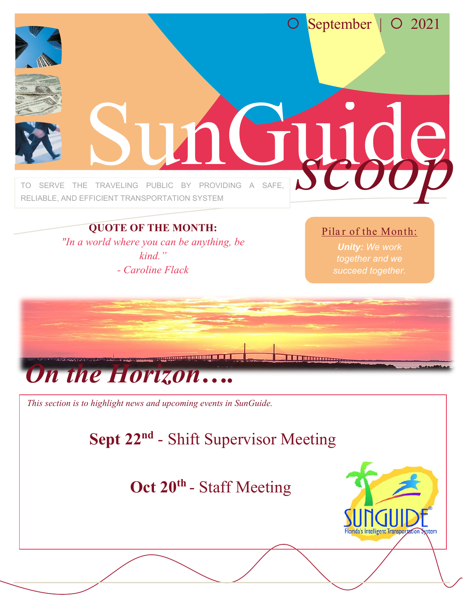

#### **QUOTE OF THE MONTH:**

*"In a world where you can be anything, be kind." - Caroline Flack*

#### Pilar of the Month:

*Unity: We work together and we succeed together.*



## **Oct 20<sup>t</sup><sup>h</sup>** - Staff Meeting

**Oct 27 th** - Shift Supervisor Meeting

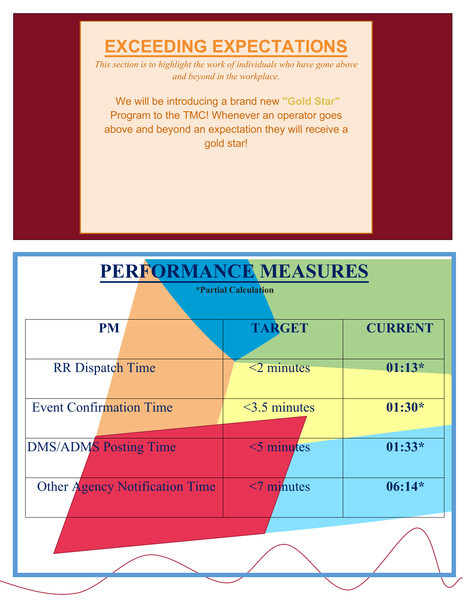**EXCEEDING EXPECTATIONS** *This section is to highlight the work of individuals who have gone above and beyond in the workplace.* 

Our **"Gold Star"** Program is coming soon!

Lucent Group is currently developing a brand new Dashboard so we can track all of your amazing achievements!

Please send any ideas you'd like to share to Natalia! nlopez@lucentgp.com

## **PERFORMANCE MEASURES**

**\*Partial Calculation**

| <b>PM</b>                             | <b>TARGET</b>      | <b>CURRENT</b> |
|---------------------------------------|--------------------|----------------|
| <b>RR</b> Dispatch Time               | $\leq$ 2 minutes   | $01:13*$       |
|                                       |                    |                |
| <b>Event Confirmation Time</b>        | $\leq$ 3.5 minutes | $01:30*$       |
|                                       |                    |                |
| <b>DMS/ADMS Posting Time</b>          | $\leq$ minutes     | $01:33*$       |
|                                       |                    |                |
| <b>Other Agency Notification Time</b> | $\leq$ minutes     | $06:14*$       |
|                                       |                    |                |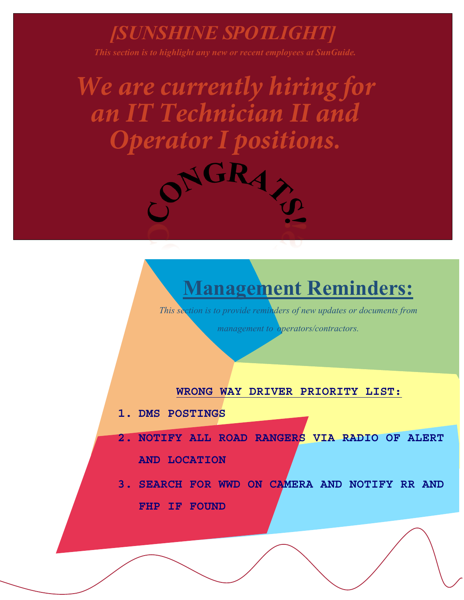### *[SUNSHINE SPOTLIGHT]*

*This section is to highlight any new or recent employees at SunGuide.* 

*We are currently hiring for an IT Technician II and Operator I positions.* 



# **Management Reminders:**

*This section is to provide reminders of new updates or documents from management to operators/contractors.*

#### **Management would like share a big**

### *Thank You!*

**for your continuous hard work while overcoming adversity. We truly admire your dedication and you inspire us every day to prevail. Keep up the important work you all** 

**do!**